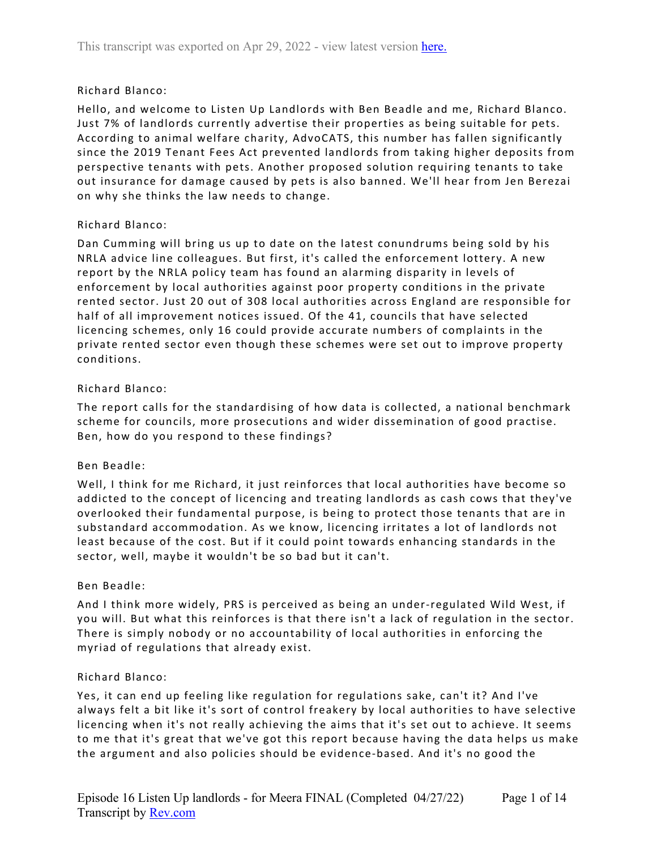# Richard Blanco:

Hello, and welcome to Listen Up Landlords with Ben Beadle and me, Richard Blanco. Just 7% of landlords currently advertise their properties as being suitable for pets. According to animal welfare charity, AdvoCATS, this number has fallen significantly since the 2019 Tenant Fees Act prevented landlords from taking higher deposits from perspective tenants with pets. Another proposed solution requiring tenants to take out insurance for damage caused by pets is also banned. We'll hear from Jen Berezai on why she thinks the law needs to change.

## Richard Blanco:

Dan Cumming will bring us up to date on the latest conundrums being sold by his NRLA advice line colleagues. But first, it's called the enforcement lottery. A new report by the NRLA policy team has found an alarming disparity in levels of enforcement by local authorities against poor property conditions in the private rented sector. Just 20 out of 308 local authorities across England are responsible for half of all improvement notices issued. Of the 41, councils that have selected licencing schemes, only 16 could provide accurate numbers of complaints in the private rented sector even though these schemes were set out to improve property conditions.

## Richard Blanco:

The report calls for the standardising of how data is collected, a national benchmark scheme for councils, more prosecutions and wider dissemination of good practise. Ben, how do you respond to these findings?

# Ben Beadle:

Well, I think for me Richard, it just reinforces that local authorities have become so addicted to the concept of licencing and treating landlords as cash cows that they've overlooked their fundamental purpose, is being to protect those tenants that are in substandard accommodation. As we know, licencing irritates a lot of landlords not least because of the cost. But if it could point towards enhancing standards in the sector, well, maybe it wouldn't be so bad but it can't.

### Ben Beadle:

And I think more widely, PRS is perceived as being an under-regulated Wild West, if you will. But what this reinforces is that there isn't a lack of regulation in the sector. There is simply nobody or no accountability of local authorities in enforcing the myriad of regulations that already exist.

### Richard Blanco:

Yes, it can end up feeling like regulation for regulations sake, can't it? And I've always felt a bit like it's sort of control freakery by local authorities to have selective licencing when it's not really achieving the aims that it's set out to achieve. It seems to me that it's great that we've got this report because having the data helps us make the argument and also policies should be evidence-based. And it's no good the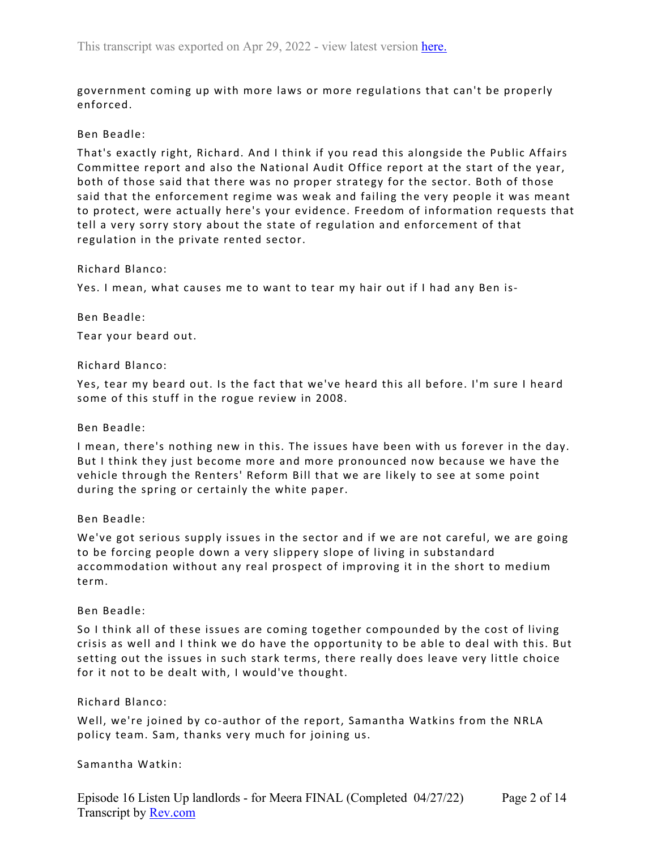government coming up with more laws or more regulations that can't be properly enforced.

### Ben Beadle:

That's exactly right, Richard. And I think if you read this alongside the Public Affairs Committee report and also the National Audit Office report at the start of the year, both of those said that there was no proper strategy for the sector. Both of those said that the enforcement regime was weak and failing the very people it was meant to protect, were actually here's your evidence. Freedom of information requests that tell a very sorry story about the state of regulation and enforcement of that regulation in the private rented sector.

### Richard Blanco:

Yes. I mean, what causes me to want to tear my hair out if I had any Ben is-

### Ben Beadle:

Tear your beard out.

## Richard Blanco:

Yes, tear my beard out. Is the fact that we've heard this all before. I'm sure I heard some of this stuff in the rogue review in 2008.

### Ben Beadle:

I mean, there's nothing new in this. The issues have been with us forever in the day. But I think they just become more and more pronounced now because we have the vehicle through the Renters' Reform Bill that we are likely to see at some point during the spring or certainly the white paper.

# Ben Beadle:

We've got serious supply issues in the sector and if we are not careful, we are going to be forcing people down a very slippery slope of living in substandard accommodation without any real prospect of improving it in the short to medium term.

### Ben Beadle:

So I think all of these issues are coming together compounded by the cost of living crisis as well and I think we do have the opportunity to be able to deal with this. But setting out the issues in such stark terms, there really does leave very little choice for it not to be dealt with, I would've thought.

# Richard Blanco:

Well, we're joined by co-author of the report, Samantha Watkins from the NRLA policy team. Sam, thanks very much for joining us.

### Samantha Watkin: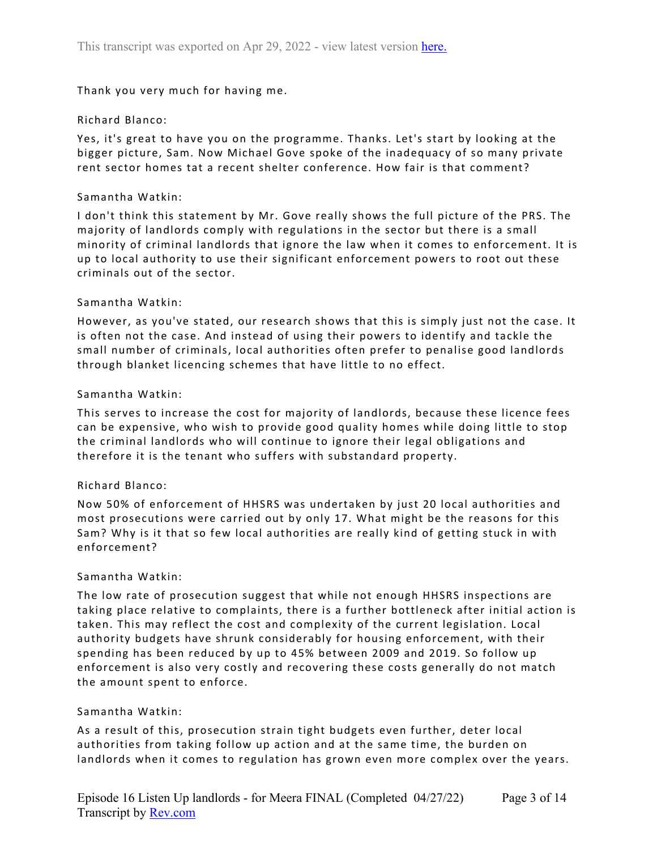Thank you very much for having me.

## Richard Blanco:

Yes, it's great to have you on the programme. Thanks. Let's start by looking at the bigger picture, Sam. Now Michael Gove spoke of the inadequacy of so many private rent sector homes tat a recent shelter conference. How fair is that comment?

### Samantha Watkin:

I don't think this statement by Mr. Gove really shows the full picture of the PRS. The majority of landlords comply with regulations in the sector but there is a small minority of criminal landlords that ignore the law when it comes to enforcement. It is up to local authority to use their significant enforcement powers to root out these criminals out of the sector.

## Samantha Watkin:

However, as you've stated, our research shows that this is simply just not the case. It is often not the case. And instead of using their powers to identify and tackle the small number of criminals, local authorities often prefer to penalise good landlords through blanket licencing schemes that have little to no effect.

## Samantha Watkin:

This serves to increase the cost for majority of landlords, because these licence fees can be expensive, who wish to provide good quality homes while doing little to stop the criminal landlords who will continue to ignore their legal obligations and therefore it is the tenant who suffers with substandard property.

### Richard Blanco:

Now 50% of enforcement of HHSRS was undertaken by just 20 local authorities and most prosecutions were carried out by only 17. What might be the reasons for this Sam? Why is it that so few local authorities are really kind of getting stuck in with enforcement?

### Samantha Watkin:

The low rate of prosecution suggest that while not enough HHSRS inspections are taking place relative to complaints, there is a further bottleneck after initial action is taken. This may reflect the cost and complexity of the current legislation. Local authority budgets have shrunk considerably for housing enforcement, with their spending has been reduced by up to 45% between 2009 and 2019. So follow up enforcement is also very costly and recovering these costs generally do not match the amount spent to enforce.

# Samantha Watkin:

As a result of this, prosecution strain tight budgets even further, deter local authorities from taking follow up action and at the same time, the burden on landlords when it comes to regulation has grown even more complex over the years.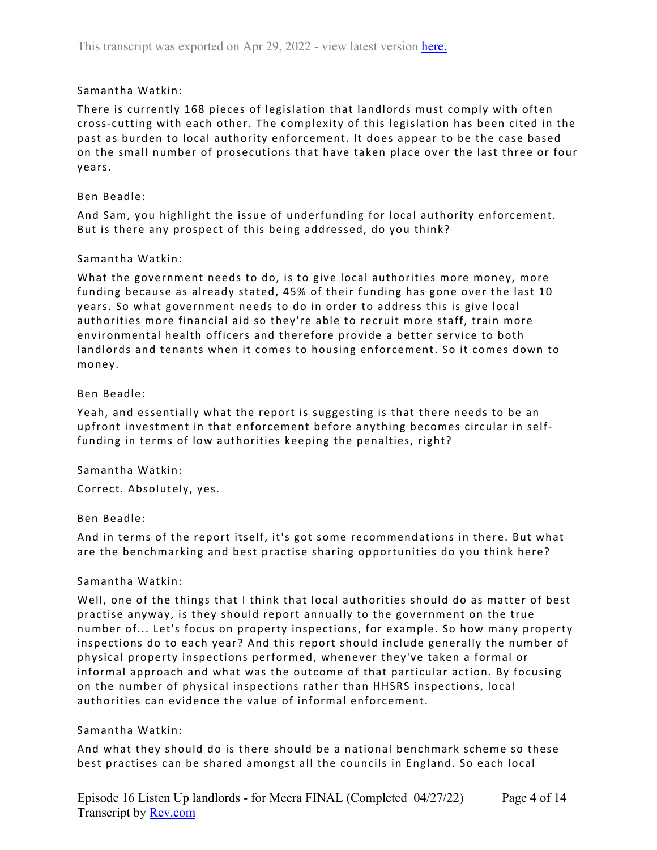# Samantha Watkin:

There is currently 168 pieces of legislation that landlords must comply with often cross-cutting with each other. The complexity of this legislation has been cited in the past as burden to local authority enforcement. It does appear to be the case based on the small number of prosecutions that have taken place over the last three or four years.

## Ben Beadle:

And Sam, you highlight the issue of underfunding for local authority enforcement. But is there any prospect of this being addressed, do you think?

## Samantha Watkin:

What the government needs to do, is to give local authorities more money, more funding because as already stated, 45% of their funding has gone over the last 10 years. So what government needs to do in order to address this is give local authorities more financial aid so they're able to recruit more staff, train more environmental health officers and therefore provide a better service to both landlords and tenants when it comes to housing enforcement. So it comes down to money.

## Ben Beadle:

Yeah, and essentially what the report is suggesting is that there needs to be an upfront investment in that enforcement before anything becomes circular in selffunding in terms of low authorities keeping the penalties, right?

# Samantha Watkin:

Correct. Absolutely, yes.

# Ben Beadle:

And in terms of the report itself, it's got some recommendations in there. But what are the benchmarking and best practise sharing opportunities do you think here?

### Samantha Watkin:

Well, one of the things that I think that local authorities should do as matter of best practise anyway, is they should report annually to the government on the true number of... Let's focus on property inspections, for example. So how many property inspections do to each year? And this report should include generally the number of physical property inspections performed, whenever they've taken a formal or informal approach and what was the outcome of that particular action. By focusing on the number of physical inspections rather than HHSRS inspections, local authorities can evidence the value of informal enforcement.

### Samantha Watkin:

And what they should do is there should be a national benchmark scheme so these best practises can be shared amongst all the councils in England. So each local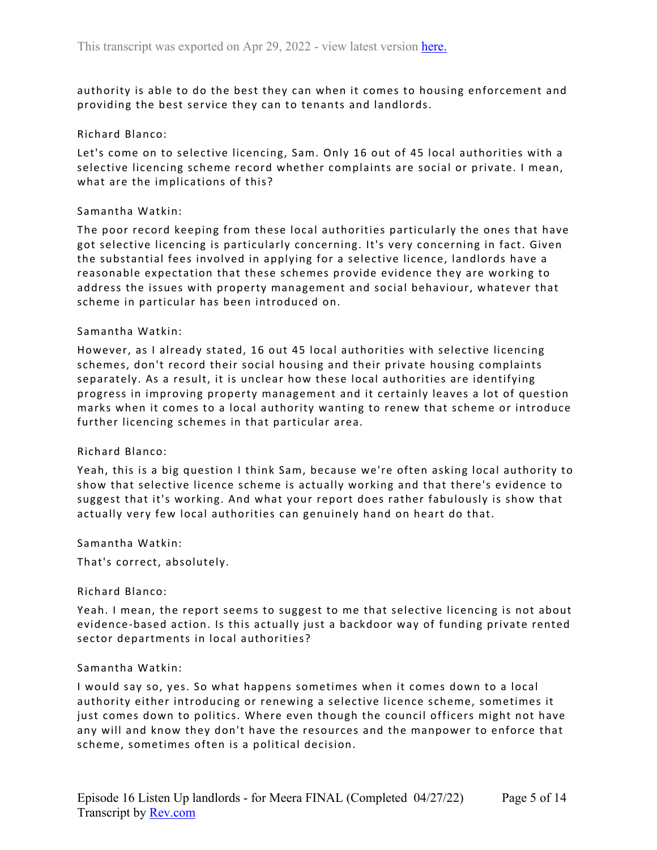authority is able to do the best they can when it comes to housing enforcement and providing the best service they can to tenants and landlords.

## Richard Blanco:

Let's come on to selective licencing, Sam. Only 16 out of 45 local authorities with a selective licencing scheme record whether complaints are social or private. I mean, what are the implications of this?

### Samantha Watkin:

The poor record keeping from these local authorities particularly the ones that have got selective licencing is particularly concerning. It's very concerning in fact. Given the substantial fees involved in applying for a selective licence, landlords have a reasonable expectation that these schemes provide evidence they are working to address the issues with property management and social behaviour, whatever that scheme in particular has been introduced on.

## Samantha Watkin:

However, as I already stated, 16 out 45 local authorities with selective licencing schemes, don't record their social housing and their private housing complaints separately. As a result, it is unclear how these local authorities are identifying progress in improving property management and it certainly leaves a lot of question marks when it comes to a local authority wanting to renew that scheme or introduce further licencing schemes in that particular area.

# Richard Blanco:

Yeah, this is a big question I think Sam, because we're often asking local authority to show that selective licence scheme is actually working and that there's evidence to suggest that it's working. And what your report does rather fabulously is show that actually very few local authorities can genuinely hand on heart do that.

### Samantha Watkin:

That's correct, absolutely.

### Richard Blanco:

Yeah. I mean, the report seems to suggest to me that selective licencing is not about evidence-based action. Is this actually just a backdoor way of funding private rented sector departments in local authorities?

### Samantha Watkin:

I would say so, yes. So what happens sometimes when it comes down to a local authority either introducing or renewing a selective licence scheme, sometimes it just comes down to politics. Where even though the council officers might not have any will and know they don't have the resources and the manpower to enforce that scheme, sometimes often is a political decision.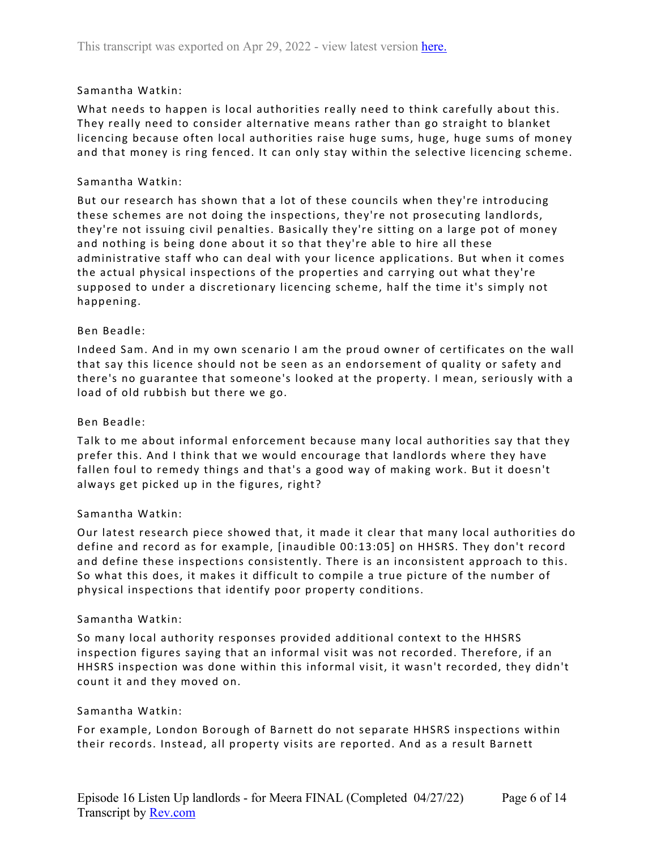## Samantha Watkin:

What needs to happen is local authorities really need to think carefully about this. They really need to consider alternative means rather than go straight to blanket licencing because often local authorities raise huge sums, huge, huge sums of money and that money is ring fenced. It can only stay within the selective licencing scheme.

### Samantha Watkin:

But our research has shown that a lot of these councils when they're introducing these schemes are not doing the inspections, they're not prosecuting landlords, they're not issuing civil penalties. Basically they're sitting on a large pot of money and nothing is being done about it so that they're able to hire all these administrative staff who can deal with your licence applications. But when it comes the actual physical inspections of the properties and carrying out what they're supposed to under a discretionary licencing scheme, half the time it's simply not happening.

## Ben Beadle:

Indeed Sam. And in my own scenario I am the proud owner of certificates on the wall that say this licence should not be seen as an endorsement of quality or safety and there's no guarantee that someone's looked at the property. I mean, seriously with a load of old rubbish but there we go.

### Ben Beadle:

Talk to me about informal enforcement because many local authorities say that they prefer this. And I think that we would encourage that landlords where they have fallen foul to remedy things and that's a good way of making work. But it doesn't always get picked up in the figures, right?

# Samantha Watkin:

Our latest research piece showed that, it made it clear that many local authorities do define and record as for example, [inaudible 00:13:05] on HHSRS. They don't record and define these inspections consistently. There is an inconsistent approach to this. So what this does, it makes it difficult to compile a true picture of the number of physical inspections that identify poor property conditions.

### Samantha Watkin:

So many local authority responses provided additional context to the HHSRS inspection figures saying that an informal visit was not recorded. Therefore, if an HHSRS inspection was done within this informal visit, it wasn't recorded, they didn't count it and they moved on.

### Samantha Watkin:

For example, London Borough of Barnett do not separate HHSRS inspections within their records. Instead, all property visits are reported. And as a result Barnett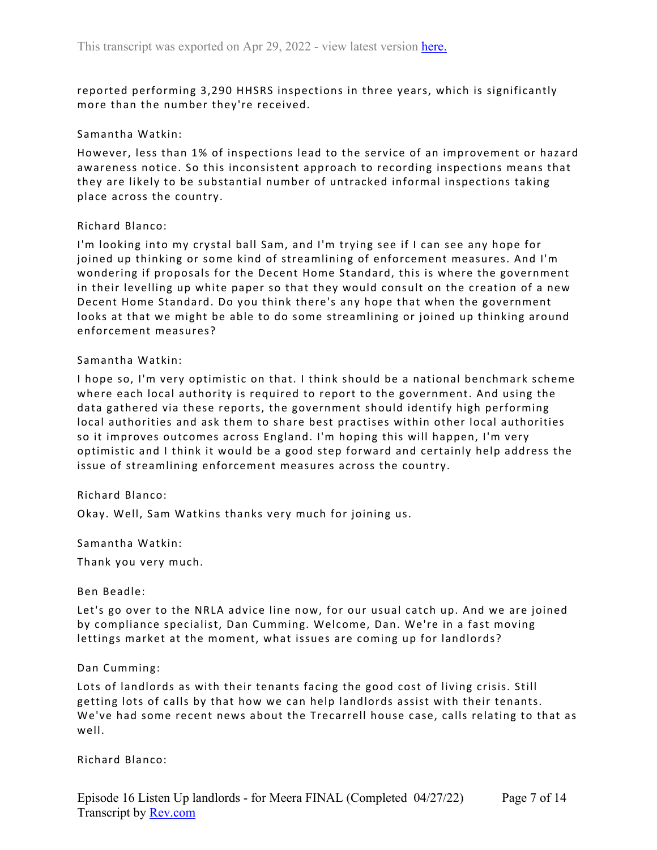reported performing 3,290 HHSRS inspections in three years, which is significantly more than the number they're received.

## Samantha Watkin:

However, less than 1% of inspections lead to the service of an improvement or hazard awareness notice. So this inconsistent approach to recording inspections means that they are likely to be substantial number of untracked informal inspections taking place across the country.

## Richard Blanco:

I'm looking into my crystal ball Sam, and I'm trying see if I can see any hope for joined up thinking or some kind of streamlining of enforcement measures. And I'm wondering if proposals for the Decent Home Standard, this is where the government in their levelling up white paper so that they would consult on the creation of a new Decent Home Standard. Do you think there's any hope that when the government looks at that we might be able to do some streamlining or joined up thinking around enforcement measures?

## Samantha Watkin:

I hope so, I'm very optimistic on that. I think should be a national benchmark scheme where each local authority is required to report to the government. And using the data gathered via these reports, the government should identify high performing local authorities and ask them to share best practises within other local authorities so it improves outcomes across England. I'm hoping this will happen, I'm very optimistic and I think it would be a good step forward and certainly help address the issue of streamlining enforcement measures across the country.

# Richard Blanco:

Okay. Well, Sam Watkins thanks very much for joining us.

Samantha Watkin:

Thank you very much.

### Ben Beadle:

Let's go over to the NRLA advice line now, for our usual catch up. And we are joined by compliance specialist, Dan Cumming. Welcome, Dan. We're in a fast moving lettings market at the moment, what issues are coming up for landlords?

### Dan Cumming:

Lots of landlords as with their tenants facing the good cost of living crisis. Still getting lots of calls by that how we can help landlords assist with their tenants. We've had some recent news about the Trecarrell house case, calls relating to that as well.

### Richard Blanco: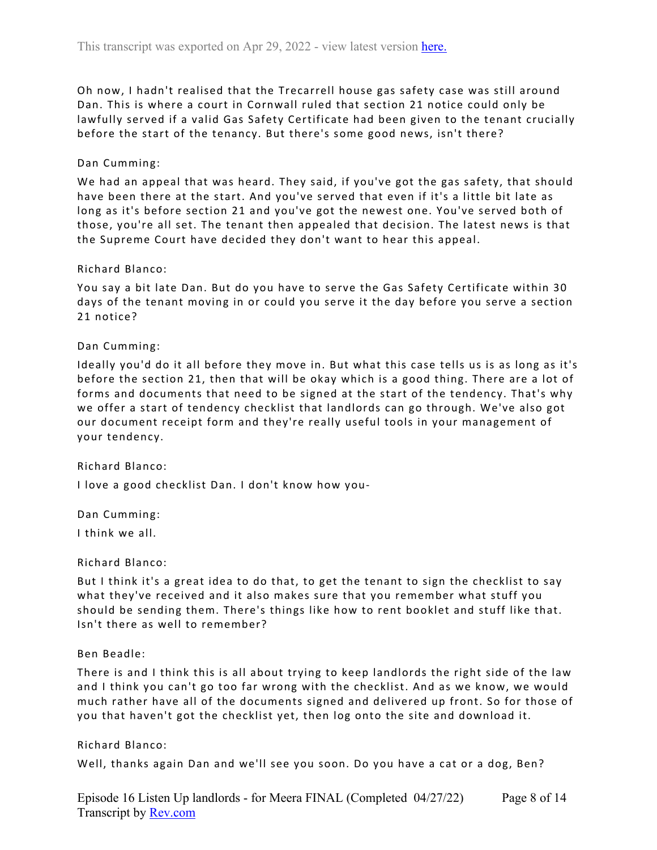Oh now, I hadn't realised that the Trecarrell house gas safety case was still around Dan. This is where a court in Cornwall ruled that section 21 notice could only be lawfully served if a valid Gas Safety Certificate had been given to the tenant crucially before the start of the tenancy. But there's some good news, isn't there?

## Dan Cumming:

We had an appeal that was heard. They said, if you've got the gas safety, that should have been there at the start. And you've served that even if it's a little bit late as long as it's before section 21 and you've got the newest one. You've served both of those, you're all set. The tenant then appealed that decision. The latest news is that the Supreme Court have decided they don't want to hear this appeal.

### Richard Blanco:

You say a bit late Dan. But do you have to serve the Gas Safety Certificate within 30 days of the tenant moving in or could you serve it the day before you serve a section 21 notice?

## Dan Cumming:

Ideally you'd do it all before they move in. But what this case tells us is as long as it's before the section 21, then that will be okay which is a good thing. There are a lot of forms and documents that need to be signed at the start of the tendency. That's why we offer a start of tendency checklist that landlords can go through. We've also got our document receipt form and they're really useful tools in your management of your tendency.

### Richard Blanco:

I love a good checklist Dan. I don't know how you-

Dan Cumming:

I think we all.

## Richard Blanco:

But I think it's a great idea to do that, to get the tenant to sign the checklist to say what they've received and it also makes sure that you remember what stuff you should be sending them. There's things like how to rent booklet and stuff like that. Isn't there as well to remember?

### Ben Beadle:

There is and I think this is all about trying to keep landlords the right side of the law and I think you can't go too far wrong with the checklist. And as we know, we would much rather have all of the documents signed and delivered up front. So for those of you that haven't got the checklist yet, then log onto the site and download it.

### Richard Blanco:

Well, thanks again Dan and we'll see you soon. Do you have a cat or a dog, Ben?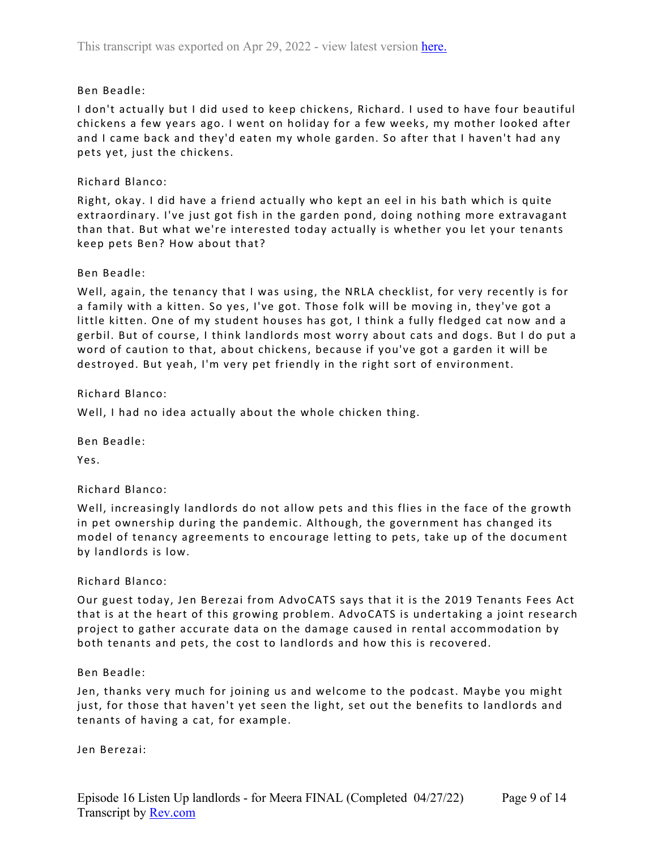## Ben Beadle:

I don't actually but I did used to keep chickens, Richard. I used to have four beautiful chickens a few years ago. I went on holiday for a few weeks, my mother looked after and I came back and they'd eaten my whole garden. So after that I haven't had any pets yet, just the chickens.

## Richard Blanco:

Right, okay. I did have a friend actually who kept an eel in his bath which is quite extraordinary. I've just got fish in the garden pond, doing nothing more extravagant than that. But what we're interested today actually is whether you let your tenants keep pets Ben? How about that?

### Ben Beadle:

Well, again, the tenancy that I was using, the NRLA checklist, for very recently is for a family with a kitten. So yes, I've got. Those folk will be moving in, they've got a little kitten. One of my student houses has got, I think a fully fledged cat now and a gerbil. But of course, I think landlords most worry about cats and dogs. But I do put a word of caution to that, about chickens, because if you've got a garden it will be destroyed. But yeah, I'm very pet friendly in the right sort of environment.

## Richard Blanco:

Well, I had no idea actually about the whole chicken thing.

Ben Beadle:

Yes.

# Richard Blanco:

Well, increasingly landlords do not allow pets and this flies in the face of the growth in pet ownership during the pandemic. Although, the government has changed its model of tenancy agreements to encourage letting to pets, take up of the document by landlords is low.

### Richard Blanco:

Our guest today, Jen Berezai from AdvoCATS says that it is the 2019 Tenants Fees Act that is at the heart of this growing problem. AdvoCATS is undertaking a joint research project to gather accurate data on the damage caused in rental accommodation by both tenants and pets, the cost to landlords and how this is recovered.

### Ben Beadle:

Jen, thanks very much for joining us and welcome to the podcast. Maybe you might just, for those that haven't yet seen the light, set out the benefits to landlords and tenants of having a cat, for example.

Jen Berezai: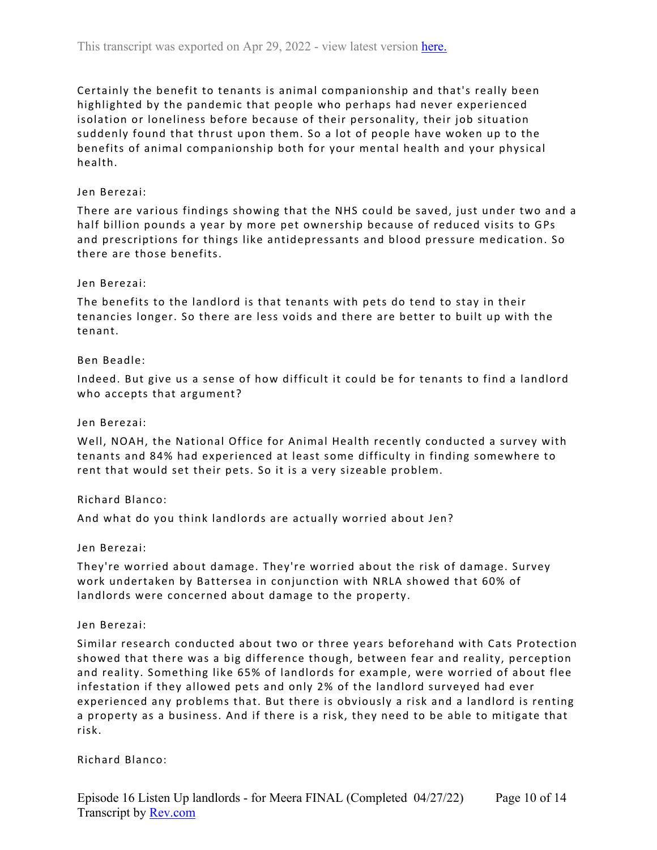Certainly the benefit to tenants is animal companionship and that's really been highlighted by the pandemic that people who perhaps had never experienced isolation or loneliness before because of their personality, their job situation suddenly found that thrust upon them. So a lot of people have woken up to the benefits of animal companionship both for your mental health and your physical health.

## Jen Berezai:

There are various findings showing that the NHS could be saved, just under two and a half billion pounds a year by more pet ownership because of reduced visits to GPs and prescriptions for things like antidepressants and blood pressure medication. So there are those benefits.

## Jen Berezai:

The benefits to the landlord is that tenants with pets do tend to stay in their tenancies longer. So there are less voids and there are better to built up with the tenant.

## Ben Beadle:

Indeed. But give us a sense of how difficult it could be for tenants to find a landlord who accepts that argument?

### Jen Berezai:

Well, NOAH, the National Office for Animal Health recently conducted a survey with tenants and 84% had experienced at least some difficulty in finding somewhere to rent that would set their pets. So it is a very sizeable problem.

### Richard Blanco:

And what do you think landlords are actually worried about Jen?

### Jen Berezai:

They're worried about damage. They're worried about the risk of damage. Survey work undertaken by Battersea in conjunction with NRLA showed that 60% of landlords were concerned about damage to the property.

### Jen Berezai:

Similar research conducted about two or three years beforehand with Cats Protection showed that there was a big difference though, between fear and reality, perception and reality. Something like 65% of landlords for example, were worried of about flee infestation if they allowed pets and only 2% of the landlord surveyed had ever experienced any problems that. But there is obviously a risk and a landlord is renting a property as a business. And if there is a risk, they need to be able to mitigate that risk.

### Richard Blanco: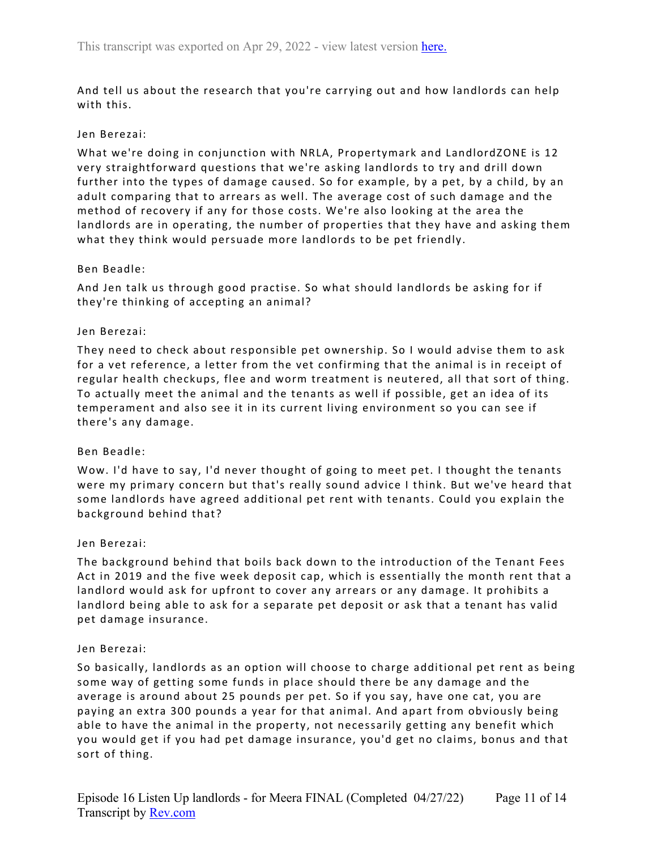And tell us about the research that you're carrying out and how landlords can help with this.

### Jen Berezai:

What we're doing in conjunction with NRLA, Propertymark and LandlordZONE is 12 very straightforward questions that we're asking landlords to try and drill down further into the types of damage caused. So for example, by a pet, by a child, by an adult comparing that to arrears as well. The average cost of such damage and the method of recovery if any for those costs. We're also looking at the area the landlords are in operating, the number of properties that they have and asking them what they think would persuade more landlords to be pet friendly.

## Ben Beadle:

And Jen talk us through good practise. So what should landlords be asking for if they're thinking of accepting an animal?

## Jen Berezai:

They need to check about responsible pet ownership. So I would advise them to ask for a vet reference, a letter from the vet confirming that the animal is in receipt of regular health checkups, flee and worm treatment is neutered, all that sort of thing. To actually meet the animal and the tenants as well if possible, get an idea of its temperament and also see it in its current living environment so you can see if there's any damage.

# Ben Beadle:

Wow. I'd have to say, I'd never thought of going to meet pet. I thought the tenants were my primary concern but that's really sound advice I think. But we've heard that some landlords have agreed additional pet rent with tenants. Could you explain the background behind that?

### Jen Berezai:

The background behind that boils back down to the introduction of the Tenant Fees Act in 2019 and the five week deposit cap, which is essentially the month rent that a landlord would ask for upfront to cover any arrears or any damage. It prohibits a landlord being able to ask for a separate pet deposit or ask that a tenant has valid pet damage insurance.

### Jen Berezai:

So basically, landlords as an option will choose to charge additional pet rent as being some way of getting some funds in place should there be any damage and the average is around about 25 pounds per pet. So if you say, have one cat, you are paying an extra 300 pounds a year for that animal. And apart from obviously being able to have the animal in the property, not necessarily getting any benefit which you would get if you had pet damage insurance, you'd get no claims, bonus and that sort of thing.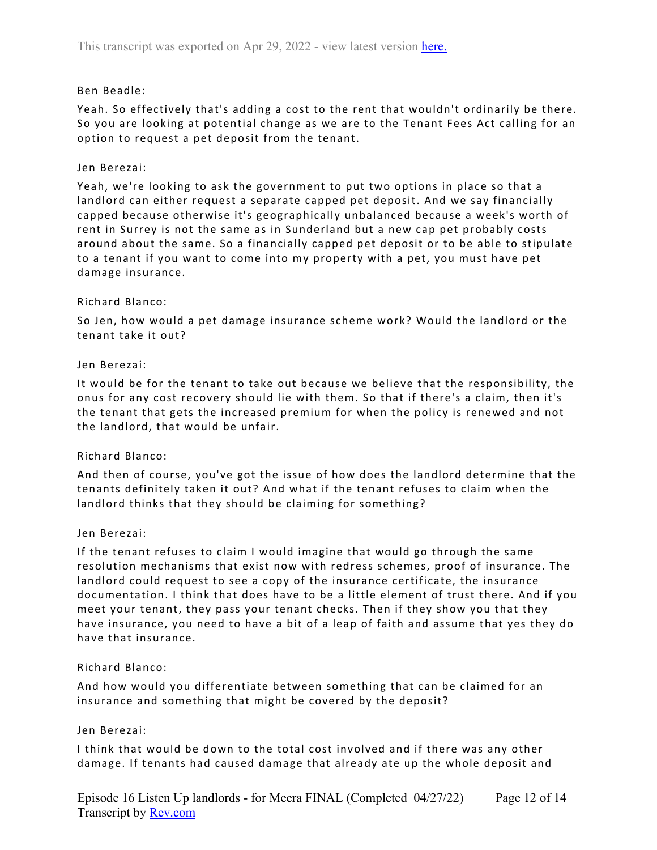## Ben Beadle:

Yeah. So effectively that's adding a cost to the rent that wouldn't ordinarily be there. So you are looking at potential change as we are to the Tenant Fees Act calling for an option to request a pet deposit from the tenant.

## Jen Berezai:

Yeah, we're looking to ask the government to put two options in place so that a landlord can either request a separate capped pet deposit. And we say financially capped because otherwise it's geographically unbalanced because a week's worth of rent in Surrey is not the same as in Sunderland but a new cap pet probably costs around about the same. So a financially capped pet deposit or to be able to stipulate to a tenant if you want to come into my property with a pet, you must have pet damage insurance.

### Richard Blanco:

So Jen, how would a pet damage insurance scheme work? Would the landlord or the tenant take it out?

### Jen Berezai:

It would be for the tenant to take out because we believe that the responsibility, the onus for any cost recovery should lie with them. So that if there's a claim, then it's the tenant that gets the increased premium for when the policy is renewed and not the landlord, that would be unfair.

# Richard Blanco:

And then of course, you've got the issue of how does the landlord determine that the tenants definitely taken it out? And what if the tenant refuses to claim when the landlord thinks that they should be claiming for something?

### Jen Berezai:

If the tenant refuses to claim I would imagine that would go through the same resolution mechanisms that exist now with redress schemes, proof of insurance. The landlord could request to see a copy of the insurance certificate, the insurance documentation. I think that does have to be a little element of trust there. And if you meet your tenant, they pass your tenant checks. Then if they show you that they have insurance, you need to have a bit of a leap of faith and assume that yes they do have that insurance.

### Richard Blanco:

And how would you differentiate between something that can be claimed for an insurance and something that might be covered by the deposit?

### Jen Berezai:

I think that would be down to the total cost involved and if there was any other damage. If tenants had caused damage that already ate up the whole deposit and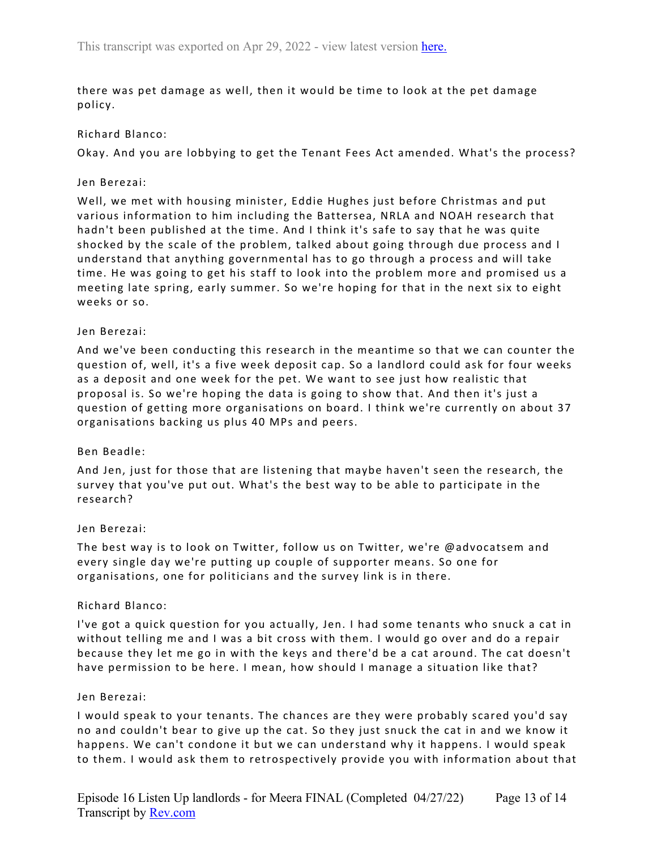there was pet damage as well, then it would be time to look at the pet damage policy.

### Richard Blanco:

Okay. And you are lobbying to get the Tenant Fees Act amended. What's the process?

### Jen Berezai:

Well, we met with housing minister, Eddie Hughes just before Christmas and put various information to him including the Battersea, NRLA and NOAH research that hadn't been published at the time. And I think it's safe to say that he was quite shocked by the scale of the problem, talked about going through due process and I understand that anything governmental has to go through a process and will take time. He was going to get his staff to look into the problem more and promised us a meeting late spring, early summer. So we're hoping for that in the next six to eight weeks or so.

## Jen Berezai:

And we've been conducting this research in the meantime so that we can counter the question of, well, it's a five week deposit cap. So a landlord could ask for four weeks as a deposit and one week for the pet. We want to see just how realistic that proposal is. So we're hoping the data is going to show that. And then it's just a question of getting more organisations on board. I think we're currently on about 37 organisations backing us plus 40 MPs and peers.

### Ben Beadle:

And Jen, just for those that are listening that maybe haven't seen the research, the survey that you've put out. What's the best way to be able to participate in the research?

### Jen Berezai:

The best way is to look on Twitter, follow us on Twitter, we're @advocatsem and every single day we're putting up couple of supporter means. So one for organisations, one for politicians and the survey link is in there.

### Richard Blanco:

I've got a quick question for you actually, Jen. I had some tenants who snuck a cat in without telling me and I was a bit cross with them. I would go over and do a repair because they let me go in with the keys and there'd be a cat around. The cat doesn't have permission to be here. I mean, how should I manage a situation like that?

### Jen Berezai:

I would speak to your tenants. The chances are they were probably scared you'd say no and couldn't bear to give up the cat. So they just snuck the cat in and we know it happens. We can't condone it but we can understand why it happens. I would speak to them. I would ask them to retrospectively provide you with information about that